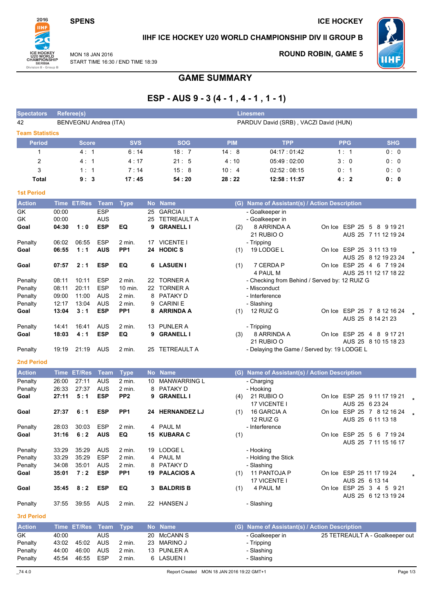#### **SPENS**



### IIHF ICE HOCKEY U20 WORLD CHAMPIONSHIP DIV II GROUP B

MON 18 JAN 2016 START TIME 16:30 / END TIME 18:39

### **ROUND ROBIN, GAME 5**



## **GAME SUMMARY**

# ESP - AUS 9 - 3 (4 - 1, 4 - 1, 1 - 1)

| <b>Spectators</b>      |             | Referee(s)            |             |                 |           |                     |            | <b>Linesmen</b>                               |                             |                                 |
|------------------------|-------------|-----------------------|-------------|-----------------|-----------|---------------------|------------|-----------------------------------------------|-----------------------------|---------------------------------|
| 42                     |             | BENVEGNU Andrea (ITA) |             |                 |           |                     |            | PARDUV David (SRB), VACZI David (HUN)         |                             |                                 |
| <b>Team Statistics</b> |             |                       |             |                 |           |                     |            |                                               |                             |                                 |
| <b>Period</b>          |             | Score                 |             | <b>SVS</b>      |           | <b>SOG</b>          | <b>PIM</b> | <b>TPP</b>                                    | <b>PPG</b>                  | <b>SHG</b>                      |
| 1                      |             | 4:1                   |             | 6:14            |           | 18:7                | 14:8       | 04:17:01:42                                   | 1:1                         | 0:0                             |
| 2                      |             | 4:1                   |             | 4:17            |           | 21:5                | 4:10       | 05:49:02:00                                   | 3:0                         | 0:0                             |
| 3                      |             | 1:1                   |             | 7:14            |           | 15:8                | 10:4       | 02:52:08:15                                   | 0:1                         | 0:0                             |
|                        |             |                       |             | 17:45           |           | 54:20               |            |                                               |                             |                                 |
| <b>Total</b>           |             | 9:3                   |             |                 |           |                     | 28:22      | 12:58 : 11:57                                 | 4:2                         | 0: 0                            |
| <b>1st Period</b>      |             |                       |             |                 |           |                     |            |                                               |                             |                                 |
| <b>Action</b>          | <b>Time</b> | <b>ET/Res</b>         | Team        | <b>Type</b>     | <b>No</b> | <b>Name</b>         |            | (G) Name of Assistant(s) / Action Description |                             |                                 |
| GK                     | 00:00       |                       | <b>ESP</b>  |                 | 25        | <b>GARCIA I</b>     |            | - Goalkeeper in                               |                             |                                 |
| GK                     | 00:00       |                       | AUS         |                 | 25        | TETREAULT A         |            | - Goalkeeper in                               |                             |                                 |
| Goal                   | 04:30       | 1:0                   | <b>ESP</b>  | EQ              | 9         | <b>GRANELL I</b>    | (2)        | 8 ARRINDA A<br>21 RUBIO O                     | On Ice ESP 25 5 8 9 19 21   | AUS 25 7 11 12 19 24            |
| Penalty                | 06:02       | 06:55                 | <b>ESP</b>  | 2 min.          |           | 17 VICENTE I        |            | - Tripping                                    |                             |                                 |
| Goal                   | 06:55       | 1:1                   | <b>AUS</b>  | PP <sub>1</sub> |           | 24 HODIC S          | (1)        | 19 LODGE L                                    | On Ice ESP 25 3 11 13 19    |                                 |
|                        |             |                       |             |                 |           |                     |            |                                               |                             | AUS 25 8 12 19 23 24            |
| Goal                   | 07:57       | 2:1                   | <b>ESP</b>  | EQ              | 6         | <b>LASUEN I</b>     | (1)        | 7 CERDA P                                     | On Ice ESP 25 4 6 7 19 24   |                                 |
|                        |             |                       |             |                 |           |                     |            | 4 PAUL M                                      |                             | AUS 25 11 12 17 18 22           |
| Penalty                | 08:11       | 10:11                 | <b>ESP</b>  | $2$ min.        |           | 22 TORNER A         |            | - Checking from Behind / Served by: 12 RUIZ G |                             |                                 |
| Penalty                | 08:11       | 20:11                 | <b>ESP</b>  | $10$ min.       |           | 22 TORNER A         |            | - Misconduct                                  |                             |                                 |
| Penalty                | 09:00       | 11:00                 | AUS         | 2 min.          | 8         | <b>PATAKY D</b>     |            | - Interference                                |                             |                                 |
| Penalty                | 12:17       | 13:04                 | <b>AUS</b>  | 2 min.          | 9         | <b>CARINIE</b>      |            | - Slashing                                    |                             |                                 |
| Goal                   | 13:04       | 3:1                   | <b>ESP</b>  | PP <sub>1</sub> | 8         | <b>ARRINDA A</b>    | (1)        | 12 RUIZ G                                     | On Ice ESP 25 7 8 12 16 24  | AUS 25 8 14 21 23               |
| Penalty                | 14:41       | 16:41                 | AUS         | 2 min.          | 13        | PUNLER A            |            | - Tripping                                    |                             |                                 |
| Goal                   | 18:03       | 4:1                   | <b>ESP</b>  | EQ              | 9         | <b>GRANELL I</b>    | (3)        | 8 ARRINDA A                                   | On Ice ESP 25 4 8 9 17 21   |                                 |
|                        |             |                       |             |                 |           |                     |            | 21 RUBIO O                                    |                             | AUS 25 8 10 15 18 23            |
| Penalty                | 19:19       | 21:19                 | AUS         | 2 min.          |           | 25 TETREAULT A      |            | - Delaying the Game / Served by: 19 LODGE L   |                             |                                 |
| <b>2nd Period</b>      |             |                       |             |                 |           |                     |            |                                               |                             |                                 |
| <b>Action</b>          |             | Time ET/Res           | <b>Team</b> | <b>Type</b>     |           | No Name             |            | (G) Name of Assistant(s) / Action Description |                             |                                 |
| Penalty                | 26:00       | 27:11                 | <b>AUS</b>  | 2 min.          | 10        | <b>MANWARRING L</b> |            | - Charging                                    |                             |                                 |
| Penalty                | 26:33       | 27:37                 | <b>AUS</b>  | 2 min.          | 8         | PATAKY D            |            | - Hooking                                     |                             |                                 |
| Goal                   | 27:11       | 5:1                   | <b>ESP</b>  | PP <sub>2</sub> | 9         | <b>GRANELL I</b>    | (4)        | 21 RUBIO O                                    | On Ice ESP 25 9 11 17 19 21 |                                 |
|                        |             |                       |             |                 |           |                     |            | 17 VICENTE I                                  |                             | AUS 25 6 23 24                  |
| Goal                   | 27:37       | 6:1                   | <b>ESP</b>  | PP <sub>1</sub> |           | 24 HERNANDEZ LJ     | (1)        | 16 GARCIA A                                   | On Ice ESP 25 7 8 12 16 24  |                                 |
|                        |             |                       |             |                 |           |                     |            | 12 RUIZ G                                     |                             | AUS 25 6 11 13 18               |
| Penalty                | 28:03       | 30:03                 | <b>ESP</b>  | 2 min.          |           | 4 PAUL M            |            | - Interference                                |                             |                                 |
| Goal                   |             | $31:16$ 6:2           | <b>AUS</b>  | EQ              |           | 15 KUBARA C         | (1)        |                                               | On Ice ESP 25 5 6 7 19 24   | AUS 25 7 11 15 16 17            |
| Penalty                | 33:29       | 35:29                 | <b>AUS</b>  | 2 min.          |           | 19 LODGE L          |            | - Hooking                                     |                             |                                 |
| Penalty                | 33:29       | 35:29                 | <b>ESP</b>  | 2 min.          | 4         | PAUL M              |            | - Holding the Stick                           |                             |                                 |
| Penalty                | 34:08       | 35:01                 | <b>AUS</b>  | $2$ min.        | 8         | PATAKY D            |            | - Slashing                                    |                             |                                 |
| Goal                   | 35:01       | 7:2                   | <b>ESP</b>  | PP <sub>1</sub> |           | 19 PALACIOS A       | (1)        | 11 PANTOJA P<br>17 VICENTE I                  | On Ice ESP 25 11 17 19 24   | AUS 25 6 13 14                  |
| Goal                   | 35:45       | 8:2                   | <b>ESP</b>  | EQ              | 3         | <b>BALDRIS B</b>    | (1)        | 4 PAUL M                                      | On Ice ESP 25 3 4 5 9 21    |                                 |
| Penalty                | 37:55       | 39:55                 | AUS         | 2 min.          |           | 22 HANSEN J         |            | - Slashing                                    |                             | AUS 25 6 12 13 19 24            |
| <b>3rd Period</b>      |             |                       |             |                 |           |                     |            |                                               |                             |                                 |
| <b>Action</b>          | Time        | ET/Res Team           |             | <b>Type</b>     |           | No Name             |            | (G) Name of Assistant(s) / Action Description |                             |                                 |
| GK                     | 40:00       |                       | <b>AUS</b>  |                 | 20        | <b>McCANN S</b>     |            | - Goalkeeper in                               |                             | 25 TETREAULT A - Goalkeeper out |
| Penalty                | 43:02       | 45:02                 | <b>AUS</b>  | 2 min.          |           | 23 MARINO J         |            | - Tripping                                    |                             |                                 |
| Penalty                | 44:00       | 46:00                 | <b>AUS</b>  | 2 min.          |           | 13 PUNLER A         |            | - Slashing                                    |                             |                                 |
| Penalty                | 45:54       | 46:55                 | <b>ESP</b>  | 2 min.          |           | 6 LASUEN I          |            | - Slashing                                    |                             |                                 |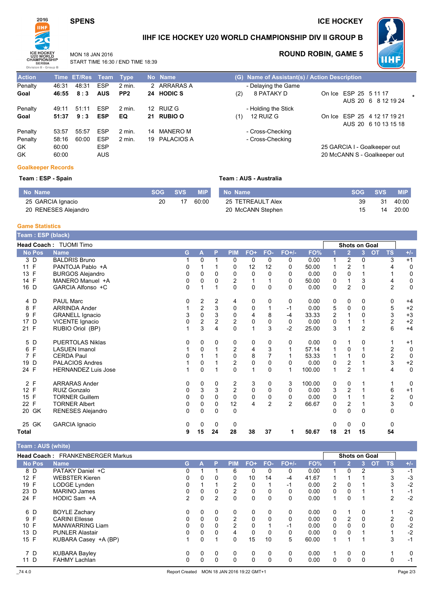#### **SPENS**

 $48:31$ 

 $46:55$   $8:3$ 

49:11 51:11

 $51:37$   $9:3$ 

53:57 55:57

58:16 60:00

#### **ICE HOCKEY**



Penalty

Penalty

Penalty

Penalty

GK

GK

u

Goal

Goal

46:31

60:00

60:00

#### IIHF ICE HOCKEY U20 WORLD CHAMPIONSHIP DIV II GROUP B

Team: AUS - Australia



**ROUND ROBIN, GAME 5** 

MON 18 JAN 2016 START TIME 16:30 / END TIME 18:39

**ESP** 

**AUS** 

ESP

**ESP** 

ESP

ESP

**ESP** 

AUS

| LIV THE TUJU    |                         |     |                                  |
|-----------------|-------------------------|-----|----------------------------------|
| <b>Type</b>     | No Name                 |     | (G) Name of Assistant(s) / Ac    |
| $2$ min.        | 2 ARRARAS A             |     | - Delaying the Game              |
| PP <sub>2</sub> | 24 HODIC S              | (2) | 8 PATAKY D                       |
| $2$ min.<br>EQ  | 12 RUIZ G<br>21 RUBIO O | (1) | - Holding the Stick<br>12 RUIZ G |
| $2$ min.        | 14 MANERO M             |     | - Cross-Checking                 |
| $2$ min.        | 19 PALACIOS A           |     | - Cross-Checking                 |

|     | G) Name of Assistant(s) / Action Description |                       |                              |  |
|-----|----------------------------------------------|-----------------------|------------------------------|--|
|     | - Delaying the Game                          |                       |                              |  |
| (2) | 8 PATAKY D                                   | On Ice ESP 25 5 11 17 |                              |  |
|     |                                              |                       | AUS 20 6 8 12 19 24          |  |
|     | - Holding the Stick                          |                       |                              |  |
| (1) | 12 RUIZ G                                    |                       | On Ice ESP 25 4 12 17 19 21  |  |
|     |                                              |                       | AUS 20 6 10 13 15 18         |  |
|     | - Cross-Checking                             |                       |                              |  |
|     | - Cross-Checking                             |                       |                              |  |
|     |                                              |                       | 25 GARCIA I - Goalkeeper out |  |
|     |                                              |                       | 20 McCANN S - Goalkeeper out |  |

#### **Goalkeeper Records**

#### Team: ESP - Spain

| <b>vo Name</b>       |    | <b>SOG SVS</b> | <b>MIP</b> | No Name           | <b>SOG SVS</b> |    | <b>MIP</b> |
|----------------------|----|----------------|------------|-------------------|----------------|----|------------|
| 25 GARCIA Ignacio    | 20 |                | 60:00      | 25 TETREAULT Alex | 39             | 31 | 40:00      |
| 20 RENESES Alejandro |    |                |            | 20 McCANN Stephen |                | 14 | 20:00      |

#### **Game Statistics**

| Team: ESP (black) |                            |          |                         |                |                |              |                |                |        |    |                      |                |           |                         |             |
|-------------------|----------------------------|----------|-------------------------|----------------|----------------|--------------|----------------|----------------|--------|----|----------------------|----------------|-----------|-------------------------|-------------|
|                   | Head Coach: TUOMI Timo     |          |                         |                |                |              |                |                |        |    | <b>Shots on Goal</b> |                |           |                         |             |
| <b>No Pos</b>     | <b>Name</b>                | G        | A                       | P              | <b>PIM</b>     | FO+          | FO-            | FO+/-          | FO%    |    | $\overline{2}$       | $\overline{3}$ | <b>OT</b> | <b>TS</b>               | $+/-$       |
| 3 D               | <b>BALDRIS Bruno</b>       |          | 0                       |                | 0              | 0            | 0              | 0              | 0.00   | 1  | 2                    | 0              |           | 3                       | $+1$        |
| 11 F              | PANTOJA Pablo +A           | 0        |                         |                | 0              | 12           | 12             | 0              | 50.00  |    | 2                    |                |           |                         | 0           |
| 13 F              | <b>BURGOS Alejandro</b>    | 0        | 0                       | $\Omega$       | 0              | $\mathbf 0$  | $\Omega$       | 0              | 0.00   | 0  | $\mathbf 0$          | 1              |           |                         | 0           |
| 14 F              | MANERO Manuel +A           | 0        | 0                       | 0              | 2              |              |                | 0              | 50.00  | 0  |                      | 3              |           | 4                       | 0           |
| 16 D              | GARCIA Alfonso +C          | $\Omega$ | 1                       |                | $\Omega$       | $\Omega$     | 0              | $\Omega$       | 0.00   | 0  | $\overline{c}$       | 0              |           | $\overline{2}$          | $\mathbf 0$ |
| 4 D               | <b>PAUL Marc</b>           | 0        | 2                       | 2              | 4              | 0            | 0              | 0              | 0.00   | 0  | 0                    | 0              |           | 0                       | $+4$        |
| F<br>8            | <b>ARRINDA Ander</b>       |          | $\overline{c}$          | 3              | $\mathbf 0$    | 0            |                | $-1$           | 0.00   | 5  | $\mathbf 0$          | 0              |           | 5                       | $+2$        |
| F<br>9            | <b>GRANELL Ignacio</b>     | 3        | 0                       | 3              | 0              | 4            | 8              | -4             | 33.33  | 2  |                      | 0              |           | 3                       | $+3$        |
| 17<br>D           | VICENTE Ignacio            | 0        | $\overline{\mathbf{c}}$ | $\overline{c}$ | $\overline{2}$ | 0            | 0              | 0              | 0.00   | 0  |                      |                |           | $\overline{\mathbf{c}}$ | $+2$        |
| 21 F              | RUBIO Oriol (BP)           |          | 3                       | 4              | $\Omega$       | $\mathbf{1}$ | 3              | $-2$           | 25.00  | 3  |                      | $\overline{2}$ |           | 6                       | $+4$        |
| 5 D               | <b>PUERTOLAS Niklas</b>    | 0        | 0                       | 0              | 0              | 0            | 0              | 0              | 0.00   | 0  | 1                    | 0              |           |                         | $+1$        |
| F<br>6            | <b>LASUEN Imanol</b>       |          | 0                       |                | $\overline{2}$ | 4            | 3              |                | 57.14  | 1  | 0                    |                |           | $\overline{c}$          | $\mathbf 0$ |
| 7 F               | <b>CERDA Paul</b>          | 0        |                         |                | $\Omega$       | 8            |                |                | 53.33  |    |                      | 0              |           | $\overline{\mathbf{c}}$ | 0           |
| D<br>19           | <b>PALACIOS Andres</b>     |          | 0                       |                | $\overline{c}$ | 0            | 0              | 0              | 0.00   | 0  | 2                    |                |           | $\mathsf 3$             | $+2$        |
| 24 F              | <b>HERNANDEZ Luis Jose</b> |          | 0                       |                | $\Omega$       | 1            | 0              | 1              | 100.00 | 1  | $\overline{2}$       | 1              |           | 4                       | $\mathbf 0$ |
| 2 F               | <b>ARRARAS Ander</b>       | 0        | 0                       | 0              | 2              | 3            | 0              | 3              | 100.00 | 0  | 0                    |                |           |                         | 0           |
| 12 F              | RUIZ Gonzalo               | 0        | 3                       | 3              | $\overline{c}$ | 0            | 0              | 0              | 0.00   | 3  | $\overline{2}$       |                |           | 6                       | $+1$        |
| 15 F              | <b>TORNER Guillem</b>      | 0        | 0                       | $\Omega$       | $\Omega$       | $\mathbf 0$  | 0              | 0              | 0.00   | 0  |                      |                |           | 2                       | 0           |
| 22 F              | <b>TORNER Albert</b>       | 0        | 0                       | 0              | 12             | 4            | $\overline{2}$ | $\overline{2}$ | 66.67  | 0  | 2                    |                |           | 3                       | $\mathbf 0$ |
| 20 GK             | <b>RENESES Alejandro</b>   | $\Omega$ | 0                       | 0              | $\mathbf 0$    |              |                |                |        | 0  | $\mathbf 0$          | 0              |           | 0                       |             |
| 25 GK             | <b>GARCIA Ignacio</b>      | 0        | 0                       | 0              | 0              |              |                |                |        | 0  | $\Omega$             | 0              |           | 0                       |             |
| Total             |                            | 9        | 15                      | 24             | 28             | 38           | 37             | 1              | 50.67  | 18 | 21                   | 15             |           | 54                      |             |

Team : AUS (white)

|               | Head Coach: FRANKENBERGER Markus |    |   |          |            |          |          |          |       |          |                | <b>Shots on Goal</b> |           |               |       |
|---------------|----------------------------------|----|---|----------|------------|----------|----------|----------|-------|----------|----------------|----------------------|-----------|---------------|-------|
| <b>No Pos</b> | <b>Name</b>                      | G. |   | P        | <b>PIM</b> | FO+      | FO-      | $FO+/-$  | FO%   |          | $\overline{2}$ | 3                    | <b>OT</b> | TS            | $+/-$ |
| 8 D           | PATAKY Daniel +C                 | 0  |   |          | 6          | 0        | 0        | 0        | 0.00  |          | $\mathbf{0}$   | 2                    |           | 3             | $-1$  |
| 12 F          | <b>WEBSTER Kieren</b>            |    |   | 0        | 0          | 10       | 14       | $-4$     | 41.67 |          |                |                      |           | 3             | $-3$  |
| 19 F          | LODGE Lynden                     | 0  |   |          | 2          | 0        |          | -1       | 0.00  | 2        | 0              |                      |           | 3             | $-2$  |
| 23 D          | <b>MARINO James</b>              | 0  | 0 | 0        | 2          | 0        | 0        | 0        | 0.00  | 0        | $\mathbf{0}$   |                      |           |               | $-1$  |
| 24 F          | HODIC Sam +A                     | 2  | 0 | 2        | 0          | 0        | 0        | 0        | 0.00  | 1        | 0              |                      |           | $\mathcal{P}$ | $-2$  |
| 6 D           | <b>BOYLE Zachary</b>             | 0  | 0 | 0        | 0          | 0        | 0        | 0        | 0.00  | 0        |                | 0                    |           |               | $-2$  |
| 9 F           | <b>CARINI Ellesse</b>            | 0  | 0 | $\Omega$ | 2          | $\Omega$ | 0        | $\Omega$ | 0.00  | $\Omega$ | 2              | $\Omega$             |           | 2             | 0     |
| 10 F          | <b>MANWARRING Liam</b>           | 0  | 0 | $\Omega$ | 2          | $\Omega$ |          | -1       | 0.00  | $\Omega$ | $\mathbf{0}$   | $\Omega$             |           | $\mathbf 0$   | $-2$  |
| 13 D          | <b>PUNLER Alastair</b>           | 0  | 0 | $\Omega$ | 4          | 0        | $\Omega$ | 0        | 0.00  | 0        | 0              |                      |           |               | $-2$  |
| 15 F          | KUBARA Casey +A (BP)             |    | 0 |          | 0          | 15       | 10       | 5        | 60.00 |          |                |                      |           | 3             | $-1$  |
| 7 D           | <b>KUBARA Bayley</b>             | 0  | 0 | 0        | 0          | 0        | 0        | 0        | 0.00  |          | $\mathbf{0}$   | $\Omega$             |           |               | 0     |
| 11 D          | <b>FAHMY Lachlan</b>             | 0  | 0 | 0        | 0          | $\Omega$ | 0        | 0        | 0.00  | 0        | $\mathbf{0}$   | 0                    |           | 0             | -1    |